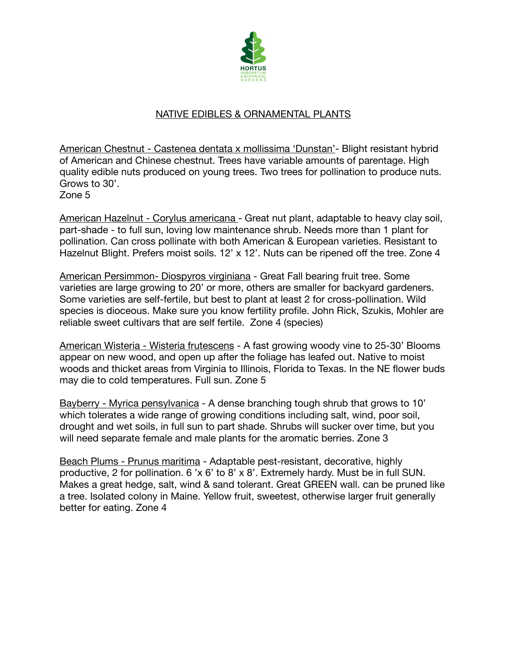

## NATIVE EDIBLES & ORNAMENTAL PLANTS

American Chestnut - Castenea dentata x mollissima 'Dunstan'- Blight resistant hybrid of American and Chinese chestnut. Trees have variable amounts of parentage. High quality edible nuts produced on young trees. Two trees for pollination to produce nuts. Grows to 30'.

Zone 5

American Hazelnut - Corylus americana - Great nut plant, adaptable to heavy clay soil, part-shade - to full sun, loving low maintenance shrub. Needs more than 1 plant for pollination. Can cross pollinate with both American & European varieties. Resistant to Hazelnut Blight. Prefers moist soils. 12' x 12'. Nuts can be ripened off the tree. Zone 4

American Persimmon- Diospyros virginiana - Great Fall bearing fruit tree. Some varieties are large growing to 20' or more, others are smaller for backyard gardeners. Some varieties are self-fertile, but best to plant at least 2 for cross-pollination. Wild species is dioceous. Make sure you know fertility profile. John Rick, Szukis, Mohler are reliable sweet cultivars that are self fertile. Zone 4 (species)

American Wisteria - Wisteria frutescens - A fast growing woody vine to 25-30' Blooms appear on new wood, and open up after the foliage has leafed out. Native to moist woods and thicket areas from Virginia to Illinois, Florida to Texas. In the NE flower buds may die to cold temperatures. Full sun. Zone 5

Bayberry - Myrica pensylvanica - A dense branching tough shrub that grows to 10' which tolerates a wide range of growing conditions including salt, wind, poor soil, drought and wet soils, in full sun to part shade. Shrubs will sucker over time, but you will need separate female and male plants for the aromatic berries. Zone 3

Beach Plums - Prunus maritima - Adaptable pest-resistant, decorative, highly productive, 2 for pollination. 6 'x 6' to 8' x 8'. Extremely hardy. Must be in full SUN. Makes a great hedge, salt, wind & sand tolerant. Great GREEN wall. can be pruned like a tree. Isolated colony in Maine. Yellow fruit, sweetest, otherwise larger fruit generally better for eating. Zone 4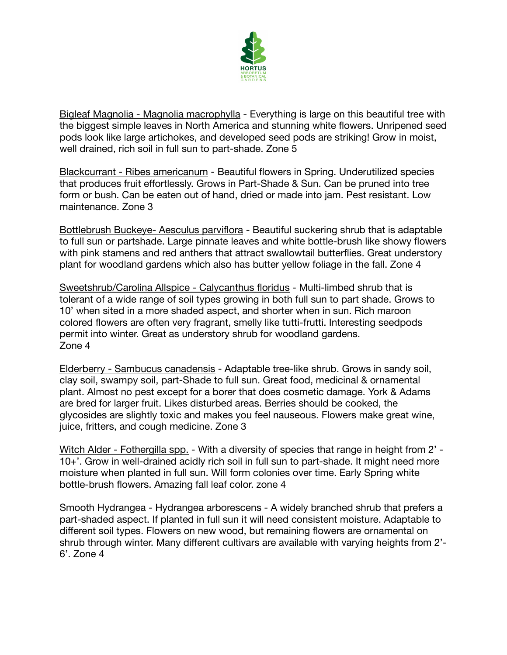

Bigleaf Magnolia - Magnolia macrophylla - Everything is large on this beautiful tree with the biggest simple leaves in North America and stunning white flowers. Unripened seed pods look like large artichokes, and developed seed pods are striking! Grow in moist, well drained, rich soil in full sun to part-shade. Zone 5

Blackcurrant - Ribes americanum - Beautiful flowers in Spring. Underutilized species that produces fruit effortlessly. Grows in Part-Shade & Sun. Can be pruned into tree form or bush. Can be eaten out of hand, dried or made into jam. Pest resistant. Low maintenance. Zone 3

Bottlebrush Buckeye- Aesculus parviflora - Beautiful suckering shrub that is adaptable to full sun or partshade. Large pinnate leaves and white bottle-brush like showy flowers with pink stamens and red anthers that attract swallowtail butterflies. Great understory plant for woodland gardens which also has butter yellow foliage in the fall. Zone 4

Sweetshrub/Carolina Allspice - Calycanthus floridus - Multi-limbed shrub that is tolerant of a wide range of soil types growing in both full sun to part shade. Grows to 10' when sited in a more shaded aspect, and shorter when in sun. Rich maroon colored flowers are often very fragrant, smelly like tutti-frutti. Interesting seedpods permit into winter. Great as understory shrub for woodland gardens. Zone 4

Elderberry - Sambucus canadensis - Adaptable tree-like shrub. Grows in sandy soil, clay soil, swampy soil, part-Shade to full sun. Great food, medicinal & ornamental plant. Almost no pest except for a borer that does cosmetic damage. York & Adams are bred for larger fruit. Likes disturbed areas. Berries should be cooked, the glycosides are slightly toxic and makes you feel nauseous. Flowers make great wine, juice, fritters, and cough medicine. Zone 3

Witch Alder - Fothergilla spp. - With a diversity of species that range in height from 2' -10+'. Grow in well-drained acidly rich soil in full sun to part-shade. It might need more moisture when planted in full sun. Will form colonies over time. Early Spring white bottle-brush flowers. Amazing fall leaf color. zone 4

Smooth Hydrangea - Hydrangea arborescens - A widely branched shrub that prefers a part-shaded aspect. If planted in full sun it will need consistent moisture. Adaptable to different soil types. Flowers on new wood, but remaining flowers are ornamental on shrub through winter. Many different cultivars are available with varying heights from 2'- 6'. Zone 4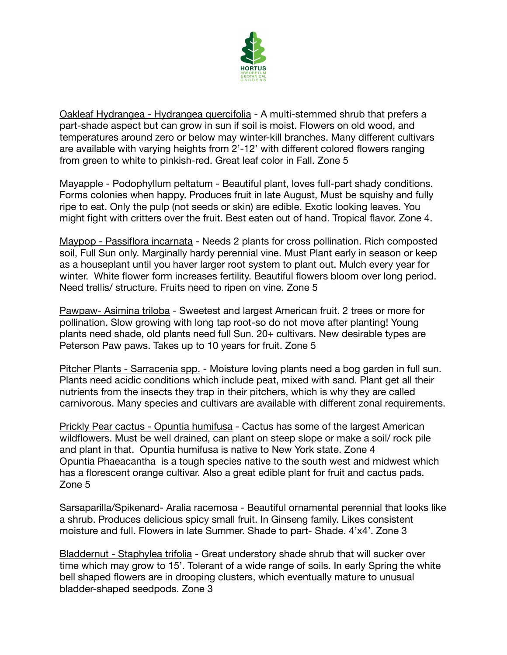

Oakleaf Hydrangea - Hydrangea quercifolia - A multi-stemmed shrub that prefers a part-shade aspect but can grow in sun if soil is moist. Flowers on old wood, and temperatures around zero or below may winter-kill branches. Many different cultivars are available with varying heights from 2'-12' with different colored flowers ranging from green to white to pinkish-red. Great leaf color in Fall. Zone 5

Mayapple - Podophyllum peltatum - Beautiful plant, loves full-part shady conditions. Forms colonies when happy. Produces fruit in late August, Must be squishy and fully ripe to eat. Only the pulp (not seeds or skin) are edible. Exotic looking leaves. You might fight with critters over the fruit. Best eaten out of hand. Tropical flavor. Zone 4.

Maypop - Passiflora incarnata - Needs 2 plants for cross pollination. Rich composted soil, Full Sun only. Marginally hardy perennial vine. Must Plant early in season or keep as a houseplant until you haver larger root system to plant out. Mulch every year for winter. White flower form increases fertility. Beautiful flowers bloom over long period. Need trellis/ structure. Fruits need to ripen on vine. Zone 5

Pawpaw- Asimina triloba - Sweetest and largest American fruit. 2 trees or more for pollination. Slow growing with long tap root-so do not move after planting! Young plants need shade, old plants need full Sun. 20+ cultivars. New desirable types are Peterson Paw paws. Takes up to 10 years for fruit. Zone 5

Pitcher Plants - Sarracenia spp. - Moisture loving plants need a bog garden in full sun. Plants need acidic conditions which include peat, mixed with sand. Plant get all their nutrients from the insects they trap in their pitchers, which is why they are called carnivorous. Many species and cultivars are available with different zonal requirements.

Prickly Pear cactus - Opuntia humifusa - Cactus has some of the largest American wildflowers. Must be well drained, can plant on steep slope or make a soil/ rock pile and plant in that. Opuntia humifusa is native to New York state. Zone 4 Opuntia Phaeacantha is a tough species native to the south west and midwest which has a florescent orange cultivar. Also a great edible plant for fruit and cactus pads. Zone 5

Sarsaparilla/Spikenard- Aralia racemosa - Beautiful ornamental perennial that looks like a shrub. Produces delicious spicy small fruit. In Ginseng family. Likes consistent moisture and full. Flowers in late Summer. Shade to part- Shade. 4'x4'. Zone 3

Bladdernut - Staphylea trifolia - Great understory shade shrub that will sucker over time which may grow to 15'. Tolerant of a wide range of soils. In early Spring the white bell shaped flowers are in drooping clusters, which eventually mature to unusual bladder-shaped seedpods. Zone 3